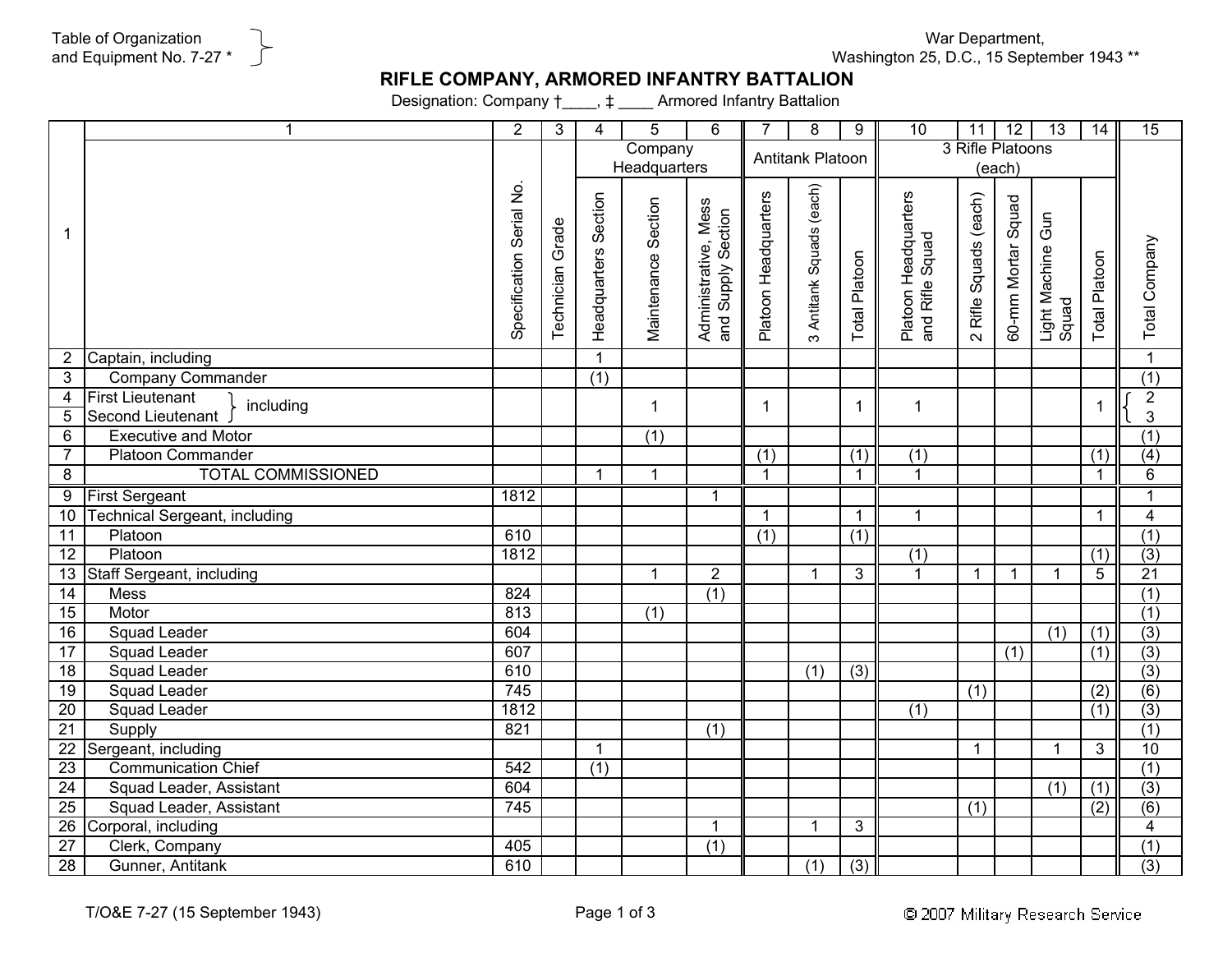War Department, Washington 25, D.C., 15 September 1943 \*\*

## **RIFLE COMPANY, ARMORED INFANTRY BATTALION**

Designation: Company †\_\_\_\_, ‡ \_\_\_\_ Armored Infantry Battalion

|                 | $\mathbf 1$                                               | $\overline{2}$           | 3                | $\overline{4}$          | 5                   | 6                                               | $\overline{7}$       | 8                           | 9                    | $\overline{10}$                         | 11                            | 12                   | $\overline{13}$            | $\overline{14}$  | 15                         |
|-----------------|-----------------------------------------------------------|--------------------------|------------------|-------------------------|---------------------|-------------------------------------------------|----------------------|-----------------------------|----------------------|-----------------------------------------|-------------------------------|----------------------|----------------------------|------------------|----------------------------|
|                 |                                                           |                          |                  | Company<br>Headquarters |                     |                                                 | Antitank Platoon     |                             |                      | 3 Rifle Platoons<br>(each)              |                               |                      |                            |                  |                            |
| 1               |                                                           | Specification Serial No. | Technician Grade | Headquarters Section    | Maintenance Section | w<br>Administrative, Mess<br>and Supply Section | Platoon Headquarters | Antitank Squads (each)<br>ო | <b>Total Platoon</b> | Platoon Headquarters<br>and Rifle Squad | Rifle Squads (each)<br>$\sim$ | 60-mm Mortar Squad   | Light Machine Gun<br>Squad | Total Platoon    | Total Company              |
| 2               | Captain, including                                        |                          |                  | $\mathbf{1}$            |                     |                                                 |                      |                             |                      |                                         |                               |                      |                            |                  | $\overline{1}$             |
| 3               | <b>Company Commander</b>                                  |                          |                  | $\overline{(1)}$        |                     |                                                 |                      |                             |                      |                                         |                               |                      |                            |                  | $\overline{(1)}$           |
| 4<br>5          | <b>First Lieutenant</b><br>including<br>Second Lieutenant |                          |                  |                         | $\mathbf{1}$        |                                                 | 1                    |                             | -1                   | $\mathbf{1}$                            |                               |                      |                            |                  | $\sqrt{2}$<br>$\mathbf{3}$ |
| 6               | <b>Executive and Motor</b>                                |                          |                  |                         | $\overline{(1)}$    |                                                 |                      |                             |                      |                                         |                               |                      |                            |                  | (1)                        |
| $\overline{7}$  | <b>Platoon Commander</b>                                  |                          |                  |                         |                     |                                                 | (1)                  |                             | $\overline{(1)}$     | $\overline{(1)}$                        |                               |                      |                            | (1)              | (4)                        |
| $\overline{8}$  | <b>TOTAL COMMISSIONED</b>                                 |                          |                  | $\mathbf{1}$            | $\mathbf{1}$        |                                                 | $\overline{1}$       |                             | $\mathbf{1}$         | $\overline{1}$                          |                               |                      |                            | $\mathbf 1$      | $\overline{6}$             |
| $\overline{9}$  | <b>First Sergeant</b>                                     | 1812                     |                  |                         |                     | $\mathbf{1}$                                    |                      |                             |                      |                                         |                               |                      |                            |                  | $\mathbf{1}$               |
| 10              | <b>Technical Sergeant, including</b>                      |                          |                  |                         |                     |                                                 | $\mathbf{1}$         |                             | $\mathbf{1}$         | $\mathbf{1}$                            |                               |                      |                            | $\mathbf{1}$     | $\overline{\mathbf{4}}$    |
| 11              | Platoon                                                   | 610                      |                  |                         |                     |                                                 | (1)                  |                             | (1)                  |                                         |                               |                      |                            |                  | (1)                        |
| $\overline{12}$ | Platoon                                                   | 1812                     |                  |                         |                     |                                                 |                      |                             |                      | (1)                                     |                               |                      |                            | $\overline{(1)}$ | (3)                        |
| 13              | Staff Sergeant, including                                 |                          |                  |                         | 1                   | $\overline{2}$                                  |                      | $\mathbf{1}$                | 3                    | $\blacktriangleleft$                    | $\mathbf 1$                   | $\blacktriangleleft$ | $\mathbf{1}$               | 5                | 21                         |
| 14              | Mess                                                      | 824                      |                  |                         |                     | (1)                                             |                      |                             |                      |                                         |                               |                      |                            |                  | (1)                        |
| 15              | Motor                                                     | 813                      |                  |                         | (1)                 |                                                 |                      |                             |                      |                                         |                               |                      |                            |                  | (1)                        |
| 16              | <b>Squad Leader</b>                                       | 604                      |                  |                         |                     |                                                 |                      |                             |                      |                                         |                               |                      | (1)                        | (1)              | $\overline{(3)}$           |
| $\overline{17}$ | <b>Squad Leader</b>                                       | 607                      |                  |                         |                     |                                                 |                      |                             |                      |                                         |                               | (1)                  |                            | (1)              | $\overline{3)}$            |
| $\overline{18}$ | <b>Squad Leader</b>                                       | 610                      |                  |                         |                     |                                                 |                      | $\overline{(1)}$            | $\overline{(3)}$     |                                         |                               |                      |                            |                  | $\overline{(3)}$           |
| 19              | <b>Squad Leader</b>                                       | 745                      |                  |                         |                     |                                                 |                      |                             |                      |                                         | (1)                           |                      |                            | (2)              | (6)                        |
| $\overline{20}$ | <b>Squad Leader</b>                                       | 1812                     |                  |                         |                     |                                                 |                      |                             |                      | (1)                                     |                               |                      |                            | (1)              | $\overline{(3)}$           |
| 21              | Supply                                                    | 821                      |                  |                         |                     | (1)                                             |                      |                             |                      |                                         |                               |                      |                            |                  | (1)                        |
| $\overline{22}$ | Sergeant, including                                       |                          |                  | $\mathbf{1}$            |                     |                                                 |                      |                             |                      |                                         | $\mathbf 1$                   |                      | $\mathbf{1}$               | 3                | 10                         |
| $\overline{23}$ | <b>Communication Chief</b>                                | 542                      |                  | (1)                     |                     |                                                 |                      |                             |                      |                                         |                               |                      |                            |                  | (1)                        |
| 24              | Squad Leader, Assistant                                   | 604                      |                  |                         |                     |                                                 |                      |                             |                      |                                         |                               |                      | (1)                        | (1)              | (3)                        |
| $\overline{25}$ | Squad Leader, Assistant                                   | 745                      |                  |                         |                     |                                                 |                      |                             |                      |                                         | $\overline{(1)}$              |                      |                            | $\overline{(2)}$ | (6)                        |
| 26              | Corporal, including                                       |                          |                  |                         |                     | $\mathbf{1}$                                    |                      | $\mathbf 1$                 | 3                    |                                         |                               |                      |                            |                  | $\overline{4}$             |
| $\overline{27}$ | Clerk, Company                                            | 405                      |                  |                         |                     | $\overline{(1)}$                                |                      |                             |                      |                                         |                               |                      |                            |                  | $\overline{(1)}$           |
| 28              | Gunner, Antitank                                          | 610                      |                  |                         |                     |                                                 |                      | $\overline{(1)}$            | $\overline{(3)}$     |                                         |                               |                      |                            |                  | (3)                        |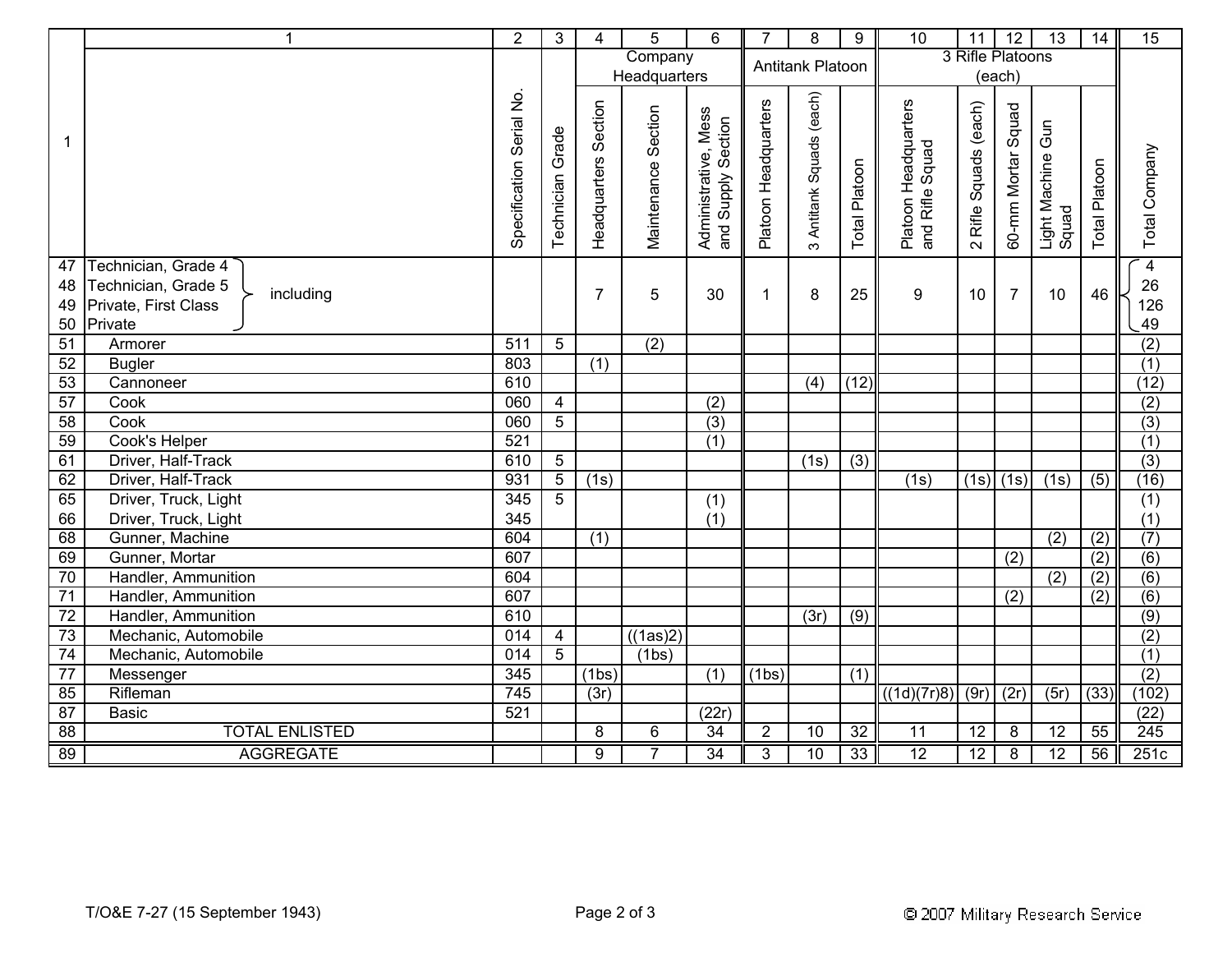|                      | $\mathbf{1}$                                                                               | $\overline{2}$              | 3                   | 4                    | 5                       | 6                                          | $\overline{7}$       | 8                        | 9                | 10                                      | 11                    | 12                 | $\overline{13}$                 | 14                   | 15                                |
|----------------------|--------------------------------------------------------------------------------------------|-----------------------------|---------------------|----------------------|-------------------------|--------------------------------------------|----------------------|--------------------------|------------------|-----------------------------------------|-----------------------|--------------------|---------------------------------|----------------------|-----------------------------------|
|                      |                                                                                            |                             |                     |                      | Company<br>Headquarters |                                            | Antitank Platoon     |                          |                  | 3 Rifle Platoons<br>(each)              |                       |                    |                                 |                      |                                   |
|                      |                                                                                            | Serial No.<br>Specification | Grade<br>Technician | Headquarters Section | Maintenance Section     | Administrative, Mess<br>and Supply Section | Platoon Headquarters | 3 Antitank Squads (each) | Total Platoon    | Platoon Headquarters<br>and Rifle Squad | 2 Rifle Squads (each) | 60-mm Mortar Squad | Gun<br>Light Machine (<br>Squad | <b>Total Platoon</b> | Total Company                     |
| 47<br>48<br>49<br>50 | Technician, Grade 4<br>Technician, Grade 5<br>including<br>Private, First Class<br>Private |                             |                     | $\overline{7}$       | 5                       | 30                                         | 1                    | 8                        | 25               | 9                                       | 10                    | $\overline{7}$     | 10                              | 46                   | $\overline{4}$<br>26<br>126<br>49 |
| 51                   | Armorer                                                                                    | 511                         | $\overline{5}$      |                      | (2)                     |                                            |                      |                          |                  |                                         |                       |                    |                                 |                      | $\overline{(2)}$                  |
| 52                   | <b>Bugler</b>                                                                              | 803                         |                     | $\overline{(1)}$     |                         |                                            |                      |                          |                  |                                         |                       |                    |                                 |                      | (1)                               |
| 53                   | Cannoneer                                                                                  | 610                         |                     |                      |                         |                                            |                      | (4)                      | (12)             |                                         |                       |                    |                                 |                      | (12)                              |
| 57                   | Cook                                                                                       | 060                         | $\overline{4}$      |                      |                         | (2)                                        |                      |                          |                  |                                         |                       |                    |                                 |                      | $\overline{(2)}$                  |
| $\overline{58}$      | Cook                                                                                       | 060                         | $\overline{5}$      |                      |                         | (3)                                        |                      |                          |                  |                                         |                       |                    |                                 |                      | (3)                               |
| 59                   | Cook's Helper                                                                              | 521                         |                     |                      |                         | (1)                                        |                      |                          |                  |                                         |                       |                    |                                 |                      | (1)                               |
| 61                   | Driver, Half-Track                                                                         | 610                         | $\overline{5}$      |                      |                         |                                            |                      | (1s)                     | $\overline{(3)}$ |                                         |                       |                    |                                 |                      | (3)                               |
| 62                   | Driver, Half-Track                                                                         | 931                         | $\overline{5}$      | (1s)                 |                         |                                            |                      |                          |                  | (1s)                                    | (1s)                  | (1s)               | (1s)                            | (5)                  | (16)                              |
| 65                   | Driver, Truck, Light                                                                       | 345                         | $\overline{5}$      |                      |                         | $\overline{(1)}$                           |                      |                          |                  |                                         |                       |                    |                                 |                      | (1)                               |
| 66                   | Driver, Truck, Light                                                                       | 345                         |                     |                      |                         | (1)                                        |                      |                          |                  |                                         |                       |                    |                                 |                      | (1)                               |
| 68                   | Gunner, Machine                                                                            | 604                         |                     | $\overline{(1)}$     |                         |                                            |                      |                          |                  |                                         |                       |                    | (2)                             | $\overline{(2)}$     | (7)                               |
| 69                   | Gunner, Mortar                                                                             | 607                         |                     |                      |                         |                                            |                      |                          |                  |                                         |                       | (2)                |                                 | $\overline{(2)}$     | (6)                               |
| 70                   | Handler, Ammunition                                                                        | 604                         |                     |                      |                         |                                            |                      |                          |                  |                                         |                       |                    | (2)                             | (2)                  | (6)                               |
| 71                   | Handler, Ammunition                                                                        | 607                         |                     |                      |                         |                                            |                      |                          |                  |                                         |                       | (2)                |                                 | (2)                  | (6)                               |
| $\overline{72}$      | Handler, Ammunition                                                                        | 610                         |                     |                      |                         |                                            |                      | (3r)                     | (9)              |                                         |                       |                    |                                 |                      | (9)                               |
| $\overline{73}$      | Mechanic, Automobile                                                                       | $\overline{014}$            | $\overline{4}$      |                      | $(1$ as)2)              |                                            |                      |                          |                  |                                         |                       |                    |                                 |                      | (2)                               |
| 74                   | Mechanic, Automobile                                                                       | 014                         | 5                   |                      | (1bs)                   |                                            |                      |                          |                  |                                         |                       |                    |                                 |                      | (1)                               |
| $\overline{77}$      | Messenger                                                                                  | 345                         |                     | (1bs)                |                         | $\overline{(1)}$                           | (1bs)                |                          | (1)              |                                         |                       |                    |                                 |                      | (2)                               |
| 85                   | Rifleman                                                                                   | 745                         |                     | (3r)                 |                         |                                            |                      |                          |                  | ((1d)(7r)8)                             | (9r)                  | (2r)               | (5r)                            | (33)                 | (102)                             |
| 87                   | <b>Basic</b>                                                                               | 521                         |                     |                      |                         | (22r)                                      |                      |                          |                  |                                         |                       |                    |                                 |                      | (22)                              |
| 88                   | <b>TOTAL ENLISTED</b>                                                                      |                             |                     | 8                    | 6                       | $\overline{34}$                            | $\overline{2}$       | $\overline{10}$          | $\overline{32}$  | $\overline{11}$                         | $\overline{12}$       | 8                  | $\overline{12}$                 | 55                   | 245                               |
| 89                   | <b>AGGREGATE</b>                                                                           |                             |                     | $\overline{9}$       | 7                       | 34                                         | 3                    | 10                       | 33               | 12                                      | 12                    | 8                  | $\overline{12}$                 | 56                   | 251c                              |